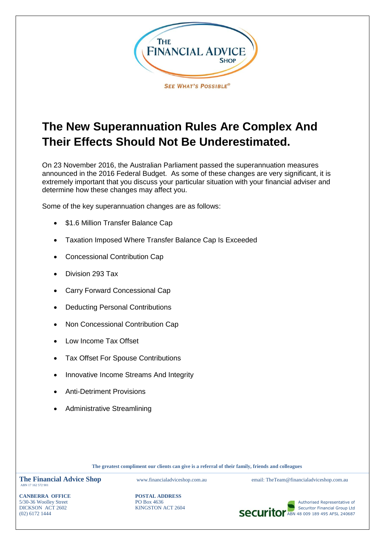

# **The New Superannuation Rules Are Complex And Their Effects Should Not Be Underestimated.**

On 23 November 2016, the Australian Parliament passed the superannuation measures announced in the 2016 Federal Budget. As some of these changes are very significant, it is extremely important that you discuss your particular situation with your financial adviser and determine how these changes may affect you.

Some of the key superannuation changes are as follows:

- \$1.6 Million Transfer Balance Cap
- Taxation Imposed Where Transfer Balance Cap Is Exceeded
- Concessional Contribution Cap
- Division 293 Tax
- Carry Forward Concessional Cap
- Deducting Personal Contributions
- Non Concessional Contribution Cap
- Low Income Tax Offset
- Tax Offset For Spouse Contributions
- Innovative Income Streams And Integrity
- Anti-Detriment Provisions
- Administrative Streamlining

**The greatest compliment our clients can give is a referral of their family, friends and colleagues**

The Financial Advice Shop www.financialadviceshop.com.au email: TheTeam@financialadviceshop.com.au ABN 17 162 572 901

**CANBERRA OFFICE POSTAL ADDRESS**



DICKSON ACT 2602 KINGSTON ACT 2604 Securitor Financial Group Ltd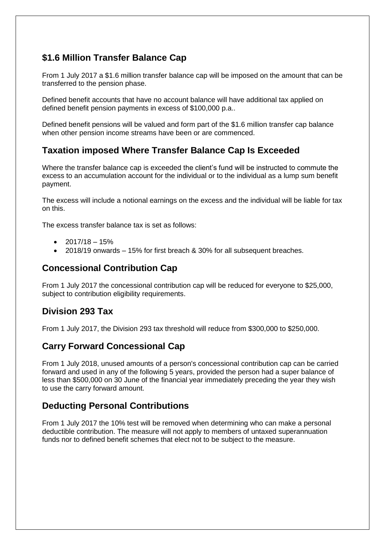# **\$1.6 Million Transfer Balance Cap**

From 1 July 2017 a \$1.6 million transfer balance cap will be imposed on the amount that can be transferred to the pension phase.

Defined benefit accounts that have no account balance will have additional tax applied on defined benefit pension payments in excess of \$100,000 p.a..

Defined benefit pensions will be valued and form part of the \$1.6 million transfer cap balance when other pension income streams have been or are commenced.

## **Taxation imposed Where Transfer Balance Cap Is Exceeded**

Where the transfer balance cap is exceeded the client's fund will be instructed to commute the excess to an accumulation account for the individual or to the individual as a lump sum benefit payment.

The excess will include a notional earnings on the excess and the individual will be liable for tax on this.

The excess transfer balance tax is set as follows:

- 2017/18 15%
- 2018/19 onwards 15% for first breach & 30% for all subsequent breaches.

#### **Concessional Contribution Cap**

From 1 July 2017 the concessional contribution cap will be reduced for everyone to \$25,000, subject to contribution eligibility requirements.

#### **Division 293 Tax**

From 1 July 2017, the Division 293 tax threshold will reduce from \$300,000 to \$250,000.

#### **Carry Forward Concessional Cap**

From 1 July 2018, unused amounts of a person's concessional contribution cap can be carried forward and used in any of the following 5 years, provided the person had a super balance of less than \$500,000 on 30 June of the financial year immediately preceding the year they wish to use the carry forward amount.

#### **Deducting Personal Contributions**

From 1 July 2017 the 10% test will be removed when determining who can make a personal deductible contribution. The measure will not apply to members of untaxed superannuation funds nor to defined benefit schemes that elect not to be subject to the measure.